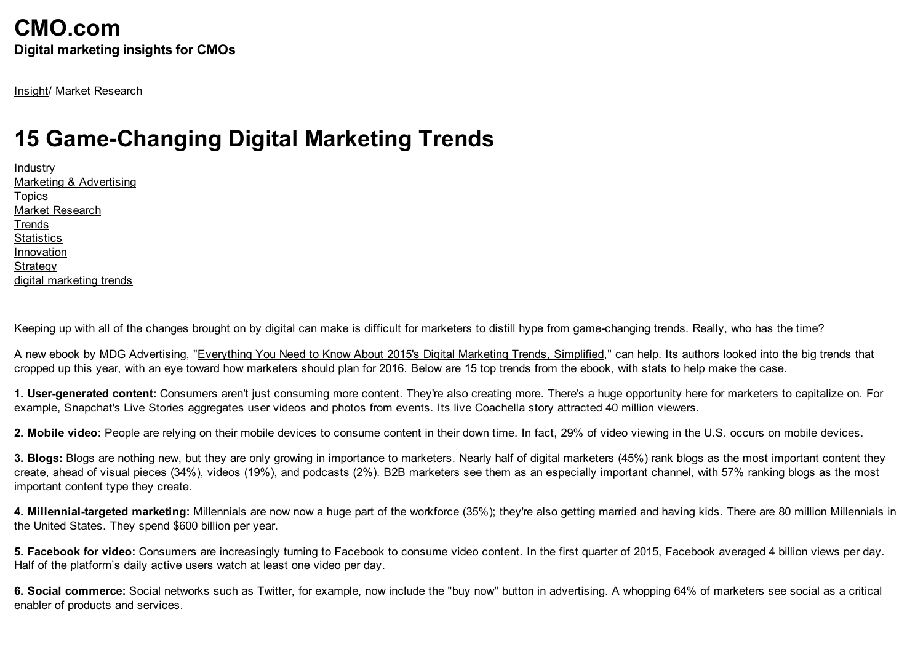[Insight](http://www.cmo.com/insight.html)/ Market Research

## **15 Game-Changing Digital Marketing Trends**

Industry Marketing & [Advertising](http://www.cmo.com/search.html?i=1;q=*;q1=Marketing+&+Advertising;x1=industry;cqtag=1) Topics Market [Research](http://www.cmo.com/search.html?i=1;q=*;q1=Market+Research;x1=topic;cqtag=1) **[Trends](http://www.cmo.com/search.html?i=1;q=*;q1=Trends;x1=topic;cqtag=1) [Statistics](http://www.cmo.com/search.html?i=1;q=*;q1=Statistics;x1=topic;cqtag=1)** [Innovation](http://www.cmo.com/search.html?i=1;q=*;q1=Innovation;x1=topic;cqtag=1) **[Strategy](http://www.cmo.com/search.html?i=1;q=*;q1=Strategy;x1=topic;cqtag=1)** digital [marketing](http://www.cmo.com/search.html?q=digital+marketing+trends) trends

Keeping up with all of the changes brought on by digital can make is difficult for marketers to distill hype from game-changing trends. Really, who has the time?

A new ebook by MDG Advertising, ["Everything](http://www.mdgadvertising.com/blog/new-e-book-everything-you-need-to-know-about-2015s-digital-marketing-trends-simplified/) You Need to Know About 2015's Digital Marketing Trends, Simplified," can help. Its authors looked into the big trends that cropped up this year, with an eye toward how marketers should plan for 2016. Below are 15 top trends from the ebook, with stats to help make the case.

1. User-generated content: Consumers aren't just consuming more content. They're also creating more. There's a huge opportunity here for marketers to capitalize on. For example, Snapchat's Live Stories aggregates user videos and photos from events. Its live Coachella story attracted 40 million viewers.

2. Mobile video: People are relying on their mobile devices to consume content in their down time. In fact, 29% of video viewing in the U.S. occurs on mobile devices.

3. Blogs: Blogs are nothing new, but they are only growing in importance to marketers. Nearly half of digital marketers (45%) rank blogs as the most important content they create, ahead of visual pieces (34%), videos (19%), and podcasts (2%). B2B marketers see them as an especially important channel, with 57% ranking blogs as the most important content type they create.

4. Millennial-targeted marketing: Millennials are now now a huge part of the workforce (35%); they're also getting married and having kids. There are 80 million Millennials in the United States. They spend \$600 billion per year.

5. Facebook for video: Consumers are increasingly turning to Facebook to consume video content. In the first quarter of 2015, Facebook averaged 4 billion views per day. Half of the platform's daily active users watch at least one video per day.

6. Social commerce: Social networks such as Twitter, for example, now include the "buy now" button in advertising. A whopping 64% of marketers see social as a critical enabler of products and services.